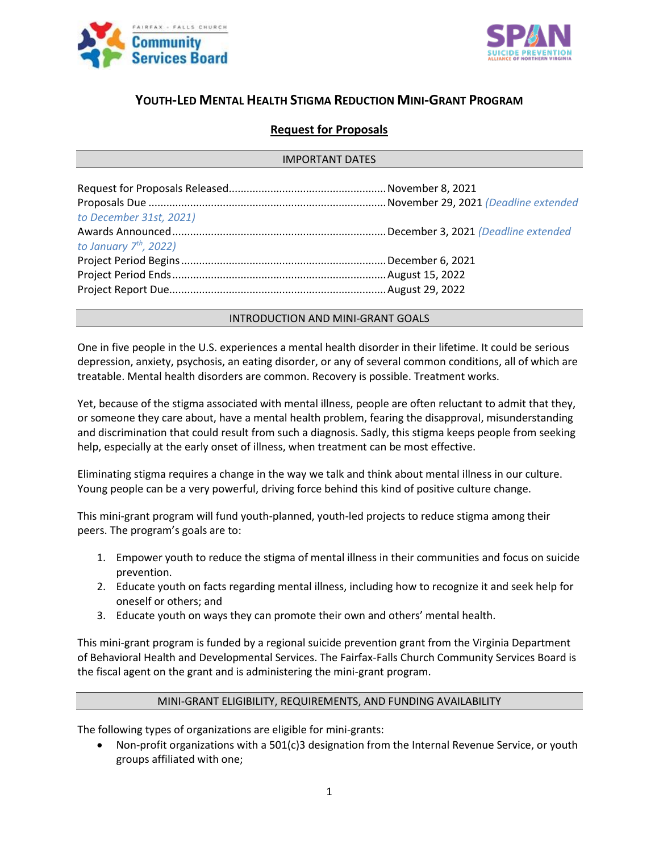



# **YOUTH-LED MENTAL HEALTH STIGMA REDUCTION MINI-GRANT PROGRAM**

## **Request for Proposals**

#### IMPORTANT DATES

| to December 31st, 2021)  |  |
|--------------------------|--|
|                          |  |
| to January $7th$ , 2022) |  |
|                          |  |
|                          |  |
|                          |  |
|                          |  |

#### INTRODUCTION AND MINI-GRANT GOALS

One in five people in the U.S. experiences a mental health disorder in their lifetime. It could be serious depression, anxiety, psychosis, an eating disorder, or any of several common conditions, all of which are treatable. Mental health disorders are common. Recovery is possible. Treatment works.

Yet, because of the stigma associated with mental illness, people are often reluctant to admit that they, or someone they care about, have a mental health problem, fearing the disapproval, misunderstanding and discrimination that could result from such a diagnosis. Sadly, this stigma keeps people from seeking help, especially at the early onset of illness, when treatment can be most effective.

Eliminating stigma requires a change in the way we talk and think about mental illness in our culture. Young people can be a very powerful, driving force behind this kind of positive culture change.

This mini-grant program will fund youth-planned, youth-led projects to reduce stigma among their peers. The program's goals are to:

- 1. Empower youth to reduce the stigma of mental illness in their communities and focus on suicide prevention.
- 2. Educate youth on facts regarding mental illness, including how to recognize it and seek help for oneself or others; and
- 3. Educate youth on ways they can promote their own and others' mental health.

This mini-grant program is funded by a regional suicide prevention grant from the Virginia Department of Behavioral Health and Developmental Services. The Fairfax-Falls Church Community Services Board is the fiscal agent on the grant and is administering the mini-grant program.

#### MINI-GRANT ELIGIBILITY, REQUIREMENTS, AND FUNDING AVAILABILITY

The following types of organizations are eligible for mini-grants:

• Non-profit organizations with a 501(c)3 designation from the Internal Revenue Service, or youth groups affiliated with one;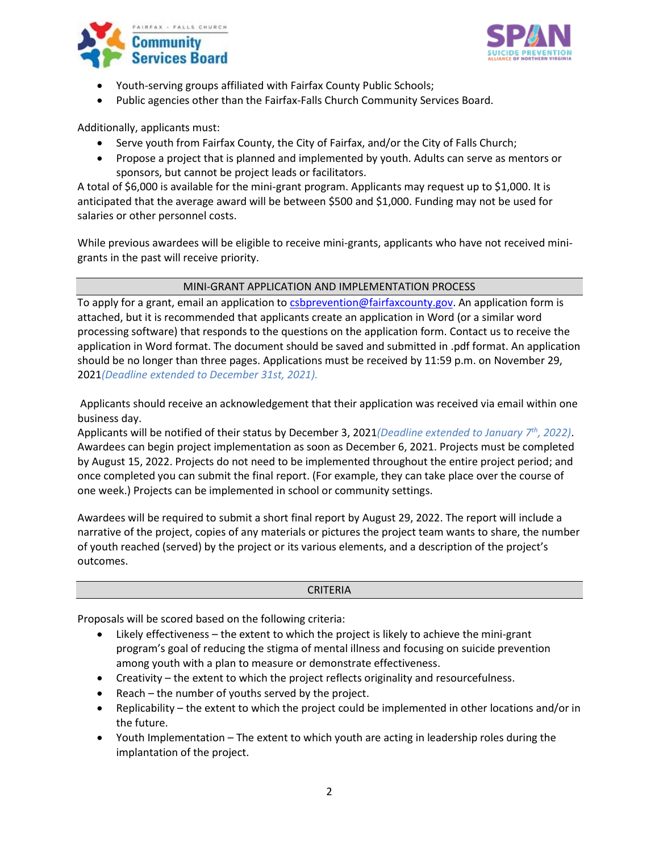



- Youth-serving groups affiliated with Fairfax County Public Schools;
- Public agencies other than the Fairfax-Falls Church Community Services Board.

Additionally, applicants must:

- Serve youth from Fairfax County, the City of Fairfax, and/or the City of Falls Church;
- Propose a project that is planned and implemented by youth. Adults can serve as mentors or sponsors, but cannot be project leads or facilitators.

A total of \$6,000 is available for the mini-grant program. Applicants may request up to \$1,000. It is anticipated that the average award will be between \$500 and \$1,000. Funding may not be used for salaries or other personnel costs.

While previous awardees will be eligible to receive mini-grants, applicants who have not received minigrants in the past will receive priority.

## MINI-GRANT APPLICATION AND IMPLEMENTATION PROCESS

To apply for a grant, email an application to [csbprevention@fairfaxcounty.gov.](mailto:csbprevention@fairfaxcounty.gov) An application form is attached, but it is recommended that applicants create an application in Word (or a similar word processing software) that responds to the questions on the application form. Contact us to receive the application in Word format. The document should be saved and submitted in .pdf format. An application should be no longer than three pages. Applications must be received by 11:59 p.m. on November 29, 2021*(Deadline extended to December 31st, 2021).*

Applicants should receive an acknowledgement that their application was received via email within one business day.

Applicants will be notified of their status by December 3, 2021*(Deadline extended to January 7 th, 2022)*. Awardees can begin project implementation as soon as December 6, 2021. Projects must be completed by August 15, 2022. Projects do not need to be implemented throughout the entire project period; and once completed you can submit the final report. (For example, they can take place over the course of one week.) Projects can be implemented in school or community settings.

Awardees will be required to submit a short final report by August 29, 2022. The report will include a narrative of the project, copies of any materials or pictures the project team wants to share, the number of youth reached (served) by the project or its various elements, and a description of the project's outcomes.

#### **CRITERIA**

Proposals will be scored based on the following criteria:

- Likely effectiveness the extent to which the project is likely to achieve the mini-grant program's goal of reducing the stigma of mental illness and focusing on suicide prevention among youth with a plan to measure or demonstrate effectiveness.
- Creativity the extent to which the project reflects originality and resourcefulness.
- Reach the number of youths served by the project.
- Replicability the extent to which the project could be implemented in other locations and/or in the future.
- Youth Implementation The extent to which youth are acting in leadership roles during the implantation of the project.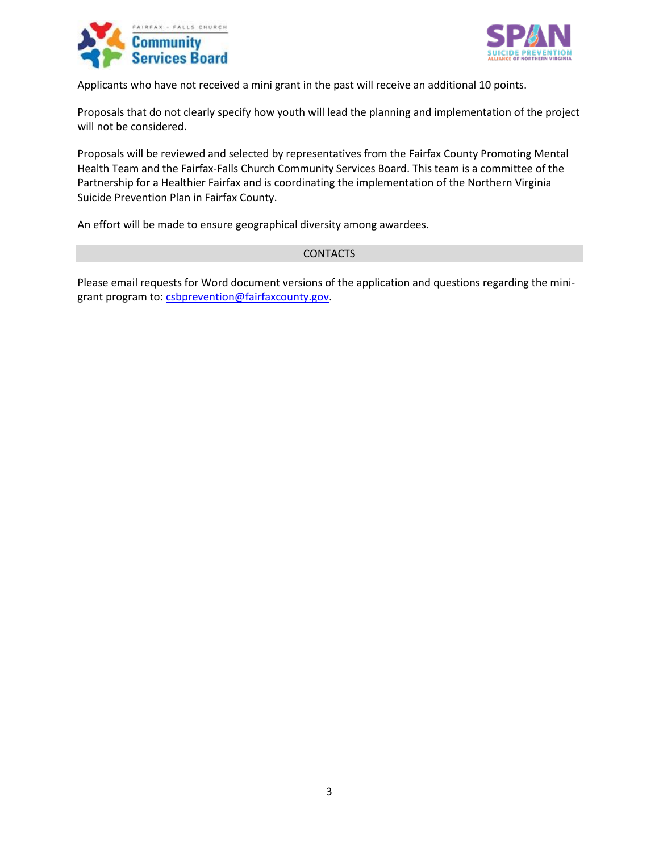



Applicants who have not received a mini grant in the past will receive an additional 10 points.

Proposals that do not clearly specify how youth will lead the planning and implementation of the project will not be considered.

Proposals will be reviewed and selected by representatives from the Fairfax County Promoting Mental Health Team and the Fairfax-Falls Church Community Services Board. This team is a committee of the Partnership for a Healthier Fairfax and is coordinating the implementation of the Northern Virginia Suicide Prevention Plan in Fairfax County.

An effort will be made to ensure geographical diversity among awardees.

#### **CONTACTS**

Please email requests for Word document versions of the application and questions regarding the minigrant program to: [csbprevention@fairfaxcounty.gov.](mailto:csbprevention@fairfaxcounty.gov)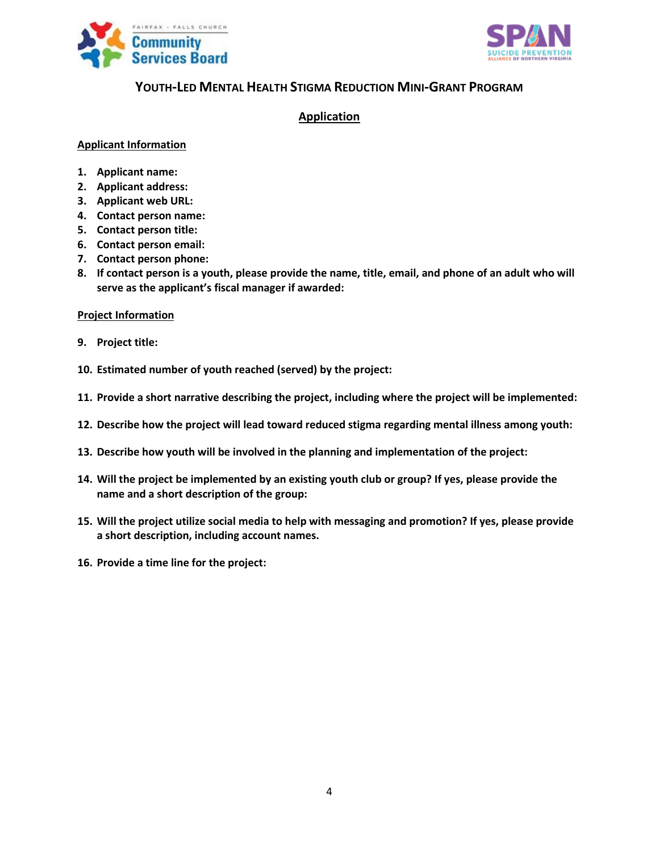



## **YOUTH-LED MENTAL HEALTH STIGMA REDUCTION MINI-GRANT PROGRAM**

## **Application**

### **Applicant Information**

- **1. Applicant name:**
- **2. Applicant address:**
- **3. Applicant web URL:**
- **4. Contact person name:**
- **5. Contact person title:**
- **6. Contact person email:**
- **7. Contact person phone:**
- **8. If contact person is a youth, please provide the name, title, email, and phone of an adult who will serve as the applicant's fiscal manager if awarded:**

#### **Project Information**

- **9. Project title:**
- **10. Estimated number of youth reached (served) by the project:**
- **11. Provide a short narrative describing the project, including where the project will be implemented:**
- **12. Describe how the project will lead toward reduced stigma regarding mental illness among youth:**
- **13. Describe how youth will be involved in the planning and implementation of the project:**
- **14. Will the project be implemented by an existing youth club or group? If yes, please provide the name and a short description of the group:**
- **15. Will the project utilize social media to help with messaging and promotion? If yes, please provide a short description, including account names.**
- **16. Provide a time line for the project:**